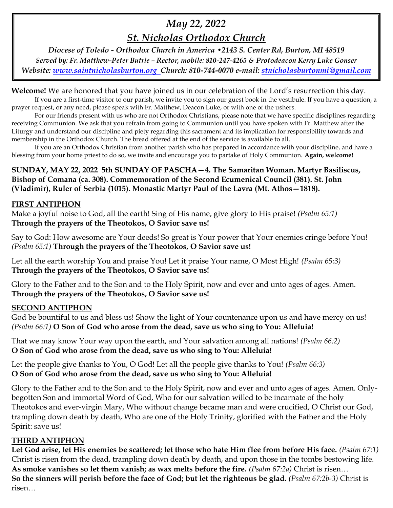# *May 22, 2022*

*St. Nicholas Orthodox Church*

*Diocese of Toledo - Orthodox Church in America •2143 S. Center Rd, Burton, MI 48519 Served by: Fr. Matthew-Peter Butrie – Rector, mobile: 810-247-4265 & Protodeacon Kerry Luke Gonser Website: [www.saintnicholasburton.org](http://www.saintnicholasburton.org/) Church: 810-744-0070 e-mail: [stnicholasburtonmi@gmail.com](mailto:stnicholasburtonmi@gmail.com)*

**Welcome!** We are honored that you have joined us in our celebration of the Lord's resurrection this day.

If you are a first-time visitor to our parish, we invite you to sign our guest book in the vestibule. If you have a question, a prayer request, or any need, please speak with Fr. Matthew, Deacon Luke, or with one of the ushers.

For our friends present with us who are not Orthodox Christians, please note that we have specific disciplines regarding receiving Communion. We ask that you refrain from going to Communion until you have spoken with Fr. Matthew after the Liturgy and understand our discipline and piety regarding this sacrament and its implication for responsibility towards and membership in the Orthodox Church. The bread offered at the end of the service is available to all.

If you are an Orthodox Christian from another parish who has prepared in accordance with your discipline, and have a blessing from your home priest to do so, we invite and encourage you to partake of Holy Communion. **Again, welcome!** 

**SUNDAY, MAY 22, 2022 5th SUNDAY OF PASCHA—4. The Samaritan Woman. Martyr Basiliscus, Bishop of Comana (ca. 308). Commemoration of the Second Ecumenical Council (381). St. John (Vladimir), Ruler of Serbia (1015). Monastic Martyr Paul of the Lavra (Mt. Athos—1818).**

### **FIRST ANTIPHON**

Make a joyful noise to God, all the earth! Sing of His name, give glory to His praise! *(Psalm 65:1)* **Through the prayers of the Theotokos, O Savior save us!**

Say to God: How awesome are Your deeds! So great is Your power that Your enemies cringe before You! *(Psalm 65:1)* **Through the prayers of the Theotokos, O Savior save us!**

Let all the earth worship You and praise You! Let it praise Your name, O Most High! *(Psalm 65:3)* **Through the prayers of the Theotokos, O Savior save us!**

Glory to the Father and to the Son and to the Holy Spirit, now and ever and unto ages of ages. Amen. **Through the prayers of the Theotokos, O Savior save us!**

# **SECOND ANTIPHON**

God be bountiful to us and bless us! Show the light of Your countenance upon us and have mercy on us! *(Psalm 66:1)* **O Son of God who arose from the dead, save us who sing to You: Alleluia!**

That we may know Your way upon the earth, and Your salvation among all nations! *(Psalm 66:2)* **O Son of God who arose from the dead, save us who sing to You: Alleluia!**

Let the people give thanks to You, O God! Let all the people give thanks to You! *(Psalm 66:3)* **O Son of God who arose from the dead, save us who sing to You: Alleluia!**

Glory to the Father and to the Son and to the Holy Spirit, now and ever and unto ages of ages. Amen. Onlybegotten Son and immortal Word of God, Who for our salvation willed to be incarnate of the holy Theotokos and ever-virgin Mary, Who without change became man and were crucified, O Christ our God, trampling down death by death, Who are one of the Holy Trinity, glorified with the Father and the Holy Spirit: save us!

# **THIRD ANTIPHON**

**Let God arise, let His enemies be scattered; let those who hate Him flee from before His face.** *(Psalm 67:1)* Christ is risen from the dead, trampling down death by death, and upon those in the tombs bestowing life. **As smoke vanishes so let them vanish; as wax melts before the fire.** *(Psalm 67:2a)* Christ is risen… **So the sinners will perish before the face of God; but let the righteous be glad.** *(Psalm 67:2b-3)* Christ is risen…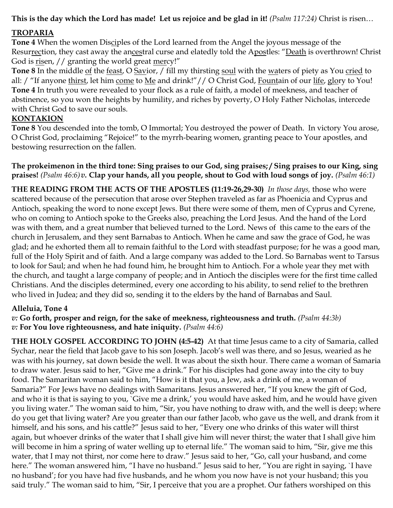**This is the day which the Lord has made! Let us rejoice and be glad in it!** *(Psalm 117:24)* Christ is risen…

# **TROPARIA**

**Tone 4** When the women Disciples of the Lord learned from the Angel the joyous message of the Resurrection, they cast away the ancestral curse and elatedly told the Apostles: "Death is overthrown! Christ God is risen, // granting the world great mercy!"

**Tone 8** In the middle of the feast, O Savior, / fill my thirsting soul with the waters of piety as You cried to all: / "If anyone thirst, let him come to Me and drink!"// O Christ God, Fountain of our life, glory to You! **Tone 4** In truth you were revealed to your flock as a rule of faith, a model of meekness, and teacher of abstinence, so you won the heights by humility, and riches by poverty, O Holy Father Nicholas, intercede with Christ God to save our souls.

### **KONTAKION**

**Tone 8** You descended into the tomb, O Immortal; You destroyed the power of Death. In victory You arose, O Christ God, proclaiming "Rejoice!" to the myrrh-bearing women, granting peace to Your apostles, and bestowing resurrection on the fallen.

#### **The prokeimenon in the third tone: Sing praises to our God, sing praises; / Sing praises to our King, sing praises!** *(Psalm 46:6)v.* **Clap your hands, all you people, shout to God with loud songs of joy.** *(Psalm 46:1)*

**THE READING FROM THE ACTS OF THE APOSTLES (11:19-26,29-30)** *In those days,* those who were scattered because of the persecution that arose over Stephen traveled as far as Phoenicia and Cyprus and Antioch, speaking the word to none except Jews. But there were some of them, men of Cyprus and Cyrene, who on coming to Antioch spoke to the Greeks also, preaching the Lord Jesus. And the hand of the Lord was with them, and a great number that believed turned to the Lord. News of this came to the ears of the church in Jerusalem, and they sent Barnabas to Antioch. When he came and saw the grace of God, he was glad; and he exhorted them all to remain faithful to the Lord with steadfast purpose; for he was a good man, full of the Holy Spirit and of faith. And a large company was added to the Lord. So Barnabas went to Tarsus to look for Saul; and when he had found him, he brought him to Antioch. For a whole year they met with the church, and taught a large company of people; and in Antioch the disciples were for the first time called Christians. And the disciples determined, every one according to his ability, to send relief to the brethren who lived in Judea; and they did so, sending it to the elders by the hand of Barnabas and Saul.

### **Alleluia, Tone 4**

### *v:* **Go forth, prosper and reign, for the sake of meekness, righteousness and truth.** *(Psalm 44:3b) v:* **For You love righteousness, and hate iniquity.** *(Psalm 44:6)*

**THE HOLY GOSPEL ACCORDING TO JOHN (4:5-42)** At that time Jesus came to a city of Samaria, called Sychar, near the field that Jacob gave to his son Joseph. Jacob's well was there, and so Jesus, wearied as he was with his journey, sat down beside the well. It was about the sixth hour. There came a woman of Samaria to draw water. Jesus said to her, "Give me a drink." For his disciples had gone away into the city to buy food. The Samaritan woman said to him, "How is it that you, a Jew, ask a drink of me, a woman of Samaria?" For Jews have no dealings with Samaritans. Jesus answered her, "If you knew the gift of God, and who it is that is saying to you, `Give me a drink,' you would have asked him, and he would have given you living water." The woman said to him, "Sir, you have nothing to draw with, and the well is deep; where do you get that living water? Are you greater than our father Jacob, who gave us the well, and drank from it himself, and his sons, and his cattle?" Jesus said to her, "Every one who drinks of this water will thirst again, but whoever drinks of the water that I shall give him will never thirst; the water that I shall give him will become in him a spring of water welling up to eternal life." The woman said to him, "Sir, give me this water, that I may not thirst, nor come here to draw." Jesus said to her, "Go, call your husband, and come here." The woman answered him, "I have no husband." Jesus said to her, "You are right in saying, `I have no husband'; for you have had five husbands, and he whom you now have is not your husband; this you said truly." The woman said to him, "Sir, I perceive that you are a prophet. Our fathers worshiped on this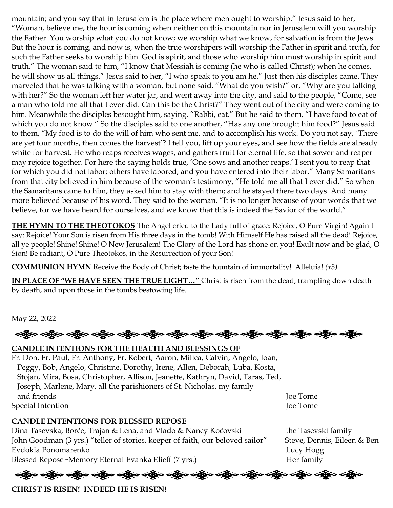mountain; and you say that in Jerusalem is the place where men ought to worship." Jesus said to her, "Woman, believe me, the hour is coming when neither on this mountain nor in Jerusalem will you worship the Father. You worship what you do not know; we worship what we know, for salvation is from the Jews. But the hour is coming, and now is, when the true worshipers will worship the Father in spirit and truth, for such the Father seeks to worship him. God is spirit, and those who worship him must worship in spirit and truth." The woman said to him, "I know that Messiah is coming (he who is called Christ); when he comes, he will show us all things." Jesus said to her, "I who speak to you am he." Just then his disciples came. They marveled that he was talking with a woman, but none said, "What do you wish?" or, "Why are you talking with her?" So the woman left her water jar, and went away into the city, and said to the people, "Come, see a man who told me all that I ever did. Can this be the Christ?" They went out of the city and were coming to him. Meanwhile the disciples besought him, saying, "Rabbi, eat." But he said to them, "I have food to eat of which you do not know." So the disciples said to one another, "Has any one brought him food?" Jesus said to them, "My food is to do the will of him who sent me, and to accomplish his work. Do you not say, `There are yet four months, then comes the harvest'? I tell you, lift up your eyes, and see how the fields are already white for harvest. He who reaps receives wages, and gathers fruit for eternal life, so that sower and reaper may rejoice together. For here the saying holds true, 'One sows and another reaps.' I sent you to reap that for which you did not labor; others have labored, and you have entered into their labor." Many Samaritans from that city believed in him because of the woman's testimony, "He told me all that I ever did." So when the Samaritans came to him, they asked him to stay with them; and he stayed there two days. And many more believed because of his word. They said to the woman, "It is no longer because of your words that we believe, for we have heard for ourselves, and we know that this is indeed the Savior of the world."

**THE HYMN TO THE THEOTOKOS** The Angel cried to the Lady full of grace: Rejoice, O Pure Virgin! Again I say: Rejoice! Your Son is risen from His three days in the tomb! With Himself He has raised all the dead! Rejoice, all ye people! Shine! Shine! O New Jerusalem! The Glory of the Lord has shone on you! Exult now and be glad, O Sion! Be radiant, O Pure Theotokos, in the Resurrection of your Son!

**COMMUNION HYMN** Receive the Body of Christ; taste the fountain of immortality! Alleluia! *(x3)*

**IN PLACE OF "WE HAVE SEEN THE TRUE LIGHT…"** Christ is risen from the dead, trampling down death by death, and upon those in the tombs bestowing life.

May 22, 2022

# ခရွို့လ ခရွို့လ ခရွို့လ ခရွို့လ ခရွို့လ ခရွို့လ ခရွို့လ ခရွို့လ ခရွို့လ ခရွို့လ ခရွို့လ ခရွို့လ ခရွို့လ ခရွို့လ

#### **CANDLE INTENTIONS FOR THE HEALTH AND BLESSINGS OF**

Fr. Don, Fr. Paul, Fr. Anthony, Fr. Robert, Aaron, Milica, Calvin, Angelo, Joan, Peggy, Bob, Angelo, Christine, Dorothy, Irene, Allen, Deborah, Luba, Kosta, Stojan, Mira, Bosa, Christopher, Allison, Jeanette, Kathryn, David, Taras, Ted, Joseph, Marlene, Mary, all the parishioners of St. Nicholas, my family and friends Joe Tome Special Intention Joe Tome

**CANDLE INTENTIONS FOR BLESSED REPOSE**

Dina Tasevska, Borće, Trajan & Lena, and Vlado & Nancy Koćovski the Tasevski family John Goodman (3 yrs.) "teller of stories, keeper of faith, our beloved sailor" Steve, Dennis, Eileen & Ben Evdokia Ponomarenko Lucy Hogg

Blessed Repose~Memory Eternal Evanka Elieff (7 yrs.) Her family

# ဆို့ပြီးဝ သို့ဖြင**်း သို့မှာ သို့ပြီး သို့ဖြင့် သို့ဖြင**့် သို့ဖြင့် သို့ဖြင့် သို့ဖြင့် သို့ဖြင့် သို့ဖြင့် သို့ဖြင

**CHRIST IS RISEN! INDEED HE IS RISEN!**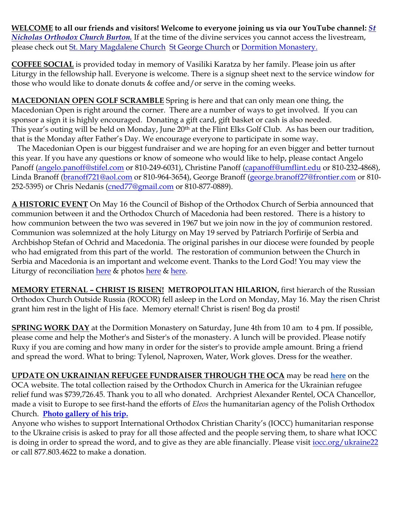**WELCOME to all our friends and visitors! Welcome to everyone joining us via our YouTube channel:** *[St](https://www.youtube.com/channel/UC59tV-Re443z-GCoETAUvfA)  [Nicholas Orthodox Church Burton.](https://www.youtube.com/channel/UC59tV-Re443z-GCoETAUvfA)* If at the time of the divine services you cannot access the livestream, please check out [St. Mary Magdalene Church](https://www.youtube.com/channel/UClHAqZrWkXdYELujbbIslHg) [St George Church](https://www.youtube.com/channel/UCpLWfxMIJK4uQOV41ekE6Wg/videos?view=2&flow=grid) or [Dormition Monastery.](https://www.youtube.com/channel/UC3z4Gp5OYPGhWYOxm-GlVnA)

**COFFEE SOCIAL** is provided today in memory of Vasiliki Karatza by her family. Please join us after Liturgy in the fellowship hall. Everyone is welcome. There is a signup sheet next to the service window for those who would like to donate donuts  $&$  coffee and/or serve in the coming weeks.

**MACEDONIAN OPEN GOLF SCRAMBLE** Spring is here and that can only mean one thing, the Macedonian Open is right around the corner. There are a number of ways to get involved. If you can sponsor a sign it is highly encouraged. Donating a gift card, gift basket or cash is also needed. This year's outing will be held on Monday, June 20<sup>th</sup> at the Flint Elks Golf Club. As has been our tradition, that is the Monday after Father's Day. We encourage everyone to participate in some way.

 The Macedonian Open is our biggest fundraiser and we are hoping for an even bigger and better turnout this year. If you have any questions or know of someone who would like to help, please contact Angelo Panoff [\(angelo.panoff@stifel.com](mailto:angelo.panoff@stifel.com) or 810-249-6031), Christine Panoff [\(capanoff@umflint.edu](mailto:capanoff@umflint.edu) or 810-232-4868), Linda Branoff [\(branoff721@aol.com](mailto:branoff721@aol.com) or 810-964-3654), George Branoff [\(george.branoff27@frontier.com](mailto:george.branoff27@frontier.com) or 810-252-5395) or Chris Nedanis [\(cned77@gmail.com](mailto:cned77@gmail.com) or 810-877-0889).

**A HISTORIC EVENT** On May 16 the Council of Bishop of the Orthodox Church of Serbia announced that communion between it and the Orthodox Church of Macedonia had been restored. There is a history to how communion between the two was severed in 1967 but we join now in the joy of communion restored. Communion was solemnized at the holy Liturgy on May 19 served by Patriarch Porfirije of Serbia and Archbishop Stefan of Ochrid and Macedonia. The original parishes in our diocese were founded by people who had emigrated from this part of the world. The restoration of communion between the Church in Serbia and Macedonia is an important and welcome event. Thanks to the Lord God! You may view the Liturgy of reconciliation [here](http://www.spc.rs/sr/fotogalerija_0) & photos here & [here.](http://www.spc.rs/sr/fotogalerija_2)

**MEMORY ETERNAL – CHRIST IS RISEN! METROPOLITAN HILARION,** first hierarch of the Russian Orthodox Church Outside Russia (ROCOR) fell asleep in the Lord on Monday, May 16. May the risen Christ grant him rest in the light of His face. Memory eternal! Christ is risen! Bog da prosti!

**SPRING WORK DAY** at the Dormition Monastery on Saturday, June 4th from 10 am to 4 pm. If possible, please come and help the Mother's and Sister's of the monastery. A lunch will be provided. Please notify Ruxy if you are coming and how many in order for the sister's to provide ample amount. Bring a friend and spread the word. What to bring: Tylenol, Naproxen, Water, Work gloves. Dress for the weather.

**UPDATE ON UKRAINIAN REFUGEE FUNDRAISER THROUGH THE OCA** may be read **[here](https://www.oca.org/media/photos/update-on-ukraine-refugee-fundraiser-after-oca-chancellor-archpriest-alexander-rentel-makes-trip-to-europe)** on the OCA website. The total collection raised by the Orthodox Church in America for the Ukrainian refugee relief fund was \$739,726.45. Thank you to all who donated. Archpriest Alexander Rentel, OCA Chancellor, made a visit to Europe to see first-hand the efforts of *Eleos* the humanitarian agency of the Polish Orthodox Church. **[Photo gallery of his trip.](https://www.oca.org/media/photos/update-on-ukraine-refugee-fundraiser-after-oca-chancellor-archpriest-alexander-rentel-makes-trip-to-europe)**

Anyone who wishes to support International Orthodox Christian Charity's (IOCC) humanitarian response to the Ukraine crisis is asked to pray for all those affected and the people serving them, to share what IOCC is doing in order to spread the word, and to give as they are able financially. Please visit *iocc.org/ukraine22* or call 877.803.4622 to make a donation.